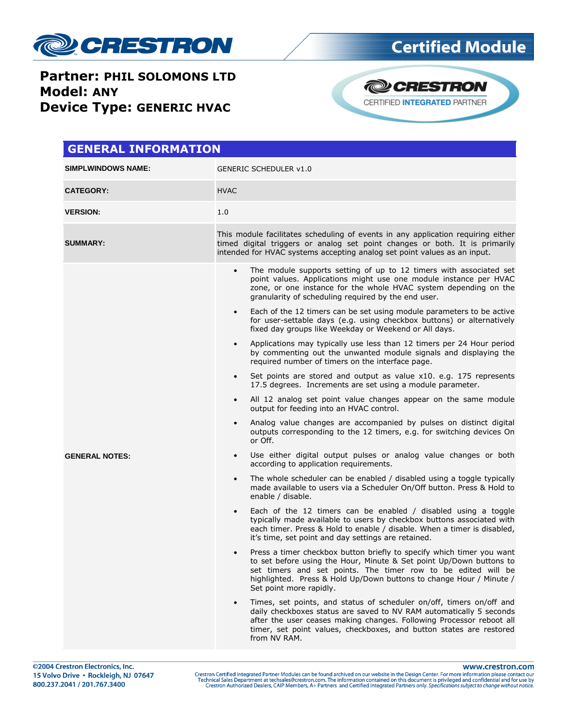

**Partner: PHIL SOLOMONS LTD Model: ANY Device Type: GENERIC HVAC** 



| <b>GENERAL INFORMATION</b> |                                                                                                                                                                                                                                                                                                                 |  |  |  |
|----------------------------|-----------------------------------------------------------------------------------------------------------------------------------------------------------------------------------------------------------------------------------------------------------------------------------------------------------------|--|--|--|
| <b>SIMPLWINDOWS NAME:</b>  | <b>GENERIC SCHEDULER v1.0</b>                                                                                                                                                                                                                                                                                   |  |  |  |
| <b>CATEGORY:</b>           | <b>HVAC</b>                                                                                                                                                                                                                                                                                                     |  |  |  |
| <b>VERSION:</b>            | 1.0                                                                                                                                                                                                                                                                                                             |  |  |  |
| <b>SUMMARY:</b>            | This module facilitates scheduling of events in any application requiring either<br>timed digital triggers or analog set point changes or both. It is primarily<br>intended for HVAC systems accepting analog set point values as an input.                                                                     |  |  |  |
|                            | The module supports setting of up to 12 timers with associated set<br>$\bullet$<br>point values. Applications might use one module instance per HVAC<br>zone, or one instance for the whole HVAC system depending on the<br>granularity of scheduling required by the end user.                                 |  |  |  |
|                            | Each of the 12 timers can be set using module parameters to be active<br>$\bullet$<br>for user-settable days (e.g. using checkbox buttons) or alternatively<br>fixed day groups like Weekday or Weekend or All days.                                                                                            |  |  |  |
|                            | Applications may typically use less than 12 timers per 24 Hour period<br>$\bullet$<br>by commenting out the unwanted module signals and displaying the<br>required number of timers on the interface page.                                                                                                      |  |  |  |
|                            | Set points are stored and output as value x10. e.g. 175 represents<br>17.5 degrees. Increments are set using a module parameter.                                                                                                                                                                                |  |  |  |
|                            | All 12 analog set point value changes appear on the same module<br>$\bullet$<br>output for feeding into an HVAC control.                                                                                                                                                                                        |  |  |  |
|                            | Analog value changes are accompanied by pulses on distinct digital<br>$\bullet$<br>outputs corresponding to the 12 timers, e.g. for switching devices On<br>or Off.                                                                                                                                             |  |  |  |
| <b>GENERAL NOTES:</b>      | Use either digital output pulses or analog value changes or both<br>$\bullet$<br>according to application requirements.                                                                                                                                                                                         |  |  |  |
|                            | The whole scheduler can be enabled / disabled using a toggle typically<br>$\bullet$<br>made available to users via a Scheduler On/Off button. Press & Hold to<br>enable / disable.                                                                                                                              |  |  |  |
|                            | Each of the 12 timers can be enabled / disabled using a toggle<br>$\bullet$<br>typically made available to users by checkbox buttons associated with<br>each timer. Press & Hold to enable / disable. When a timer is disabled,<br>it's time, set point and day settings are retained.                          |  |  |  |
|                            | Press a timer checkbox button briefly to specify which timer you want<br>to set before using the Hour, Minute & Set point Up/Down buttons to<br>set timers and set points. The timer row to be edited will be<br>highlighted. Press & Hold Up/Down buttons to change Hour / Minute /<br>Set point more rapidly. |  |  |  |
|                            | Times, set points, and status of scheduler on/off, timers on/off and<br>daily checkboxes status are saved to NV RAM automatically 5 seconds<br>after the user ceases making changes. Following Processor reboot all<br>timer, set point values, checkboxes, and button states are restored<br>from NV RAM.      |  |  |  |

www.crestron.com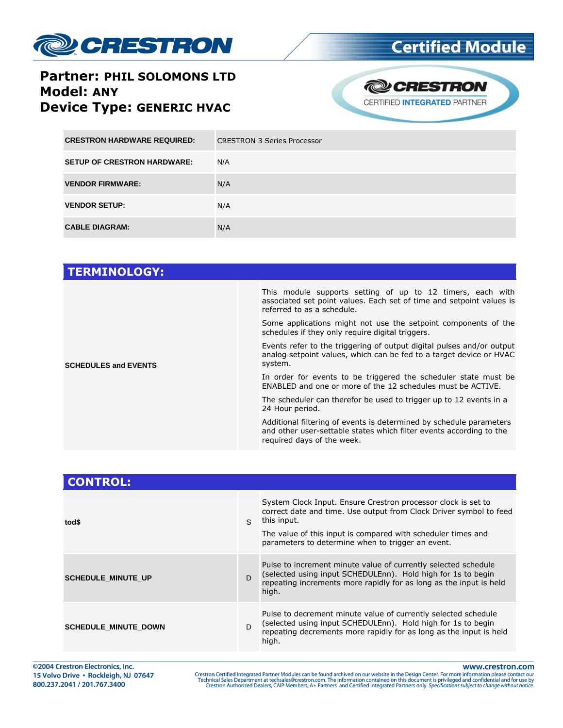

#### **Partner: PHIL SOLOMONS LTD Model: ANY Device Type: GENERIC HVAC**



| <b>CRESTRON HARDWARE REQUIRED:</b> | <b>CRESTRON 3 Series Processor</b> |
|------------------------------------|------------------------------------|
| <b>SETUP OF CRESTRON HARDWARE:</b> | N/A                                |
| <b>VENDOR FIRMWARE:</b>            | N/A                                |
| <b>VENDOR SETUP:</b>               | N/A                                |
| <b>CABLE DIAGRAM:</b>              | N/A                                |

| This module supports setting of up to 12 timers, each with<br>associated set point values. Each set of time and setpoint values is<br>referred to as a schedule.         |
|--------------------------------------------------------------------------------------------------------------------------------------------------------------------------|
| Some applications might not use the setpoint components of the<br>schedules if they only require digital triggers.                                                       |
| Events refer to the triggering of output digital pulses and/or output<br>analog setpoint values, which can be fed to a target device or HVAC<br>system.                  |
| In order for events to be triggered the scheduler state must be<br>ENABLED and one or more of the 12 schedules must be ACTIVE.                                           |
| The scheduler can therefor be used to trigger up to 12 events in a<br>24 Hour period.                                                                                    |
| Additional filtering of events is determined by schedule parameters<br>and other user-settable states which filter events according to the<br>required days of the week. |
|                                                                                                                                                                          |

| <b>CONTROL:</b>             |               |                                                                                                                                                                                                               |
|-----------------------------|---------------|---------------------------------------------------------------------------------------------------------------------------------------------------------------------------------------------------------------|
| tod\$                       | $\mathcal{S}$ | System Clock Input. Ensure Crestron processor clock is set to<br>correct date and time. Use output from Clock Driver symbol to feed<br>this input.                                                            |
|                             |               | The value of this input is compared with scheduler times and<br>parameters to determine when to trigger an event.                                                                                             |
| <b>SCHEDULE MINUTE UP</b>   | D             | Pulse to increment minute value of currently selected schedule<br>(selected using input SCHEDULEnn). Hold high for 1s to begin<br>repeating increments more rapidly for as long as the input is held<br>high. |
| <b>SCHEDULE MINUTE DOWN</b> | <sub>D</sub>  | Pulse to decrement minute value of currently selected schedule<br>(selected using input SCHEDULEnn). Hold high for 1s to begin<br>repeating decrements more rapidly for as long as the input is held<br>high. |

www.crestron.com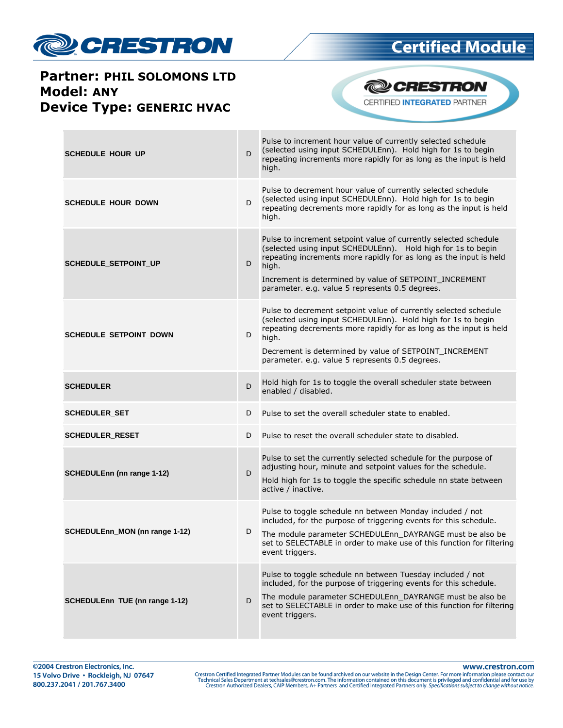

### **Partner: PHIL SOLOMONS LTD Model: ANY Device Type: GENERIC HVAC**





| <b>SCHEDULE HOUR UP</b>           | D | Pulse to increment hour value of currently selected schedule<br>(selected using input SCHEDULEnn). Hold high for 1s to begin<br>repeating increments more rapidly for as long as the input is held<br>high.                                                                                                                  |
|-----------------------------------|---|------------------------------------------------------------------------------------------------------------------------------------------------------------------------------------------------------------------------------------------------------------------------------------------------------------------------------|
| <b>SCHEDULE_HOUR_DOWN</b>         | D | Pulse to decrement hour value of currently selected schedule<br>(selected using input SCHEDULEnn). Hold high for 1s to begin<br>repeating decrements more rapidly for as long as the input is held<br>high.                                                                                                                  |
| SCHEDULE_SETPOINT_UP              | D | Pulse to increment setpoint value of currently selected schedule<br>(selected using input SCHEDULEnn). Hold high for 1s to begin<br>repeating increments more rapidly for as long as the input is held<br>high.<br>Increment is determined by value of SETPOINT_INCREMENT<br>parameter. e.g. value 5 represents 0.5 degrees. |
| <b>SCHEDULE_SETPOINT_DOWN</b>     | D | Pulse to decrement setpoint value of currently selected schedule<br>(selected using input SCHEDULEnn). Hold high for 1s to begin<br>repeating decrements more rapidly for as long as the input is held<br>high.<br>Decrement is determined by value of SETPOINT_INCREMENT<br>parameter. e.g. value 5 represents 0.5 degrees. |
| <b>SCHEDULER</b>                  | D | Hold high for 1s to toggle the overall scheduler state between<br>enabled / disabled.                                                                                                                                                                                                                                        |
| <b>SCHEDULER_SET</b>              | D | Pulse to set the overall scheduler state to enabled.                                                                                                                                                                                                                                                                         |
| <b>SCHEDULER_RESET</b>            | D | Pulse to reset the overall scheduler state to disabled.                                                                                                                                                                                                                                                                      |
| <b>SCHEDULEnn (nn range 1-12)</b> | D | Pulse to set the currently selected schedule for the purpose of<br>adjusting hour, minute and setpoint values for the schedule.<br>Hold high for 1s to toggle the specific schedule nn state between<br>active / inactive.                                                                                                   |
| SCHEDULEnn_MON (nn range 1-12)    | D | Pulse to toggle schedule nn between Monday included / not<br>included, for the purpose of triggering events for this schedule.<br>The module parameter SCHEDULEnn DAYRANGE must be also be<br>set to SELECTABLE in order to make use of this function for filtering<br>event triggers.                                       |
| SCHEDULEnn_TUE (nn range 1-12)    | D | Pulse to toggle schedule nn between Tuesday included / not<br>included, for the purpose of triggering events for this schedule.<br>The module parameter SCHEDULEnn_DAYRANGE must be also be<br>set to SELECTABLE in order to make use of this function for filtering<br>event triggers.                                      |

www.crestron.com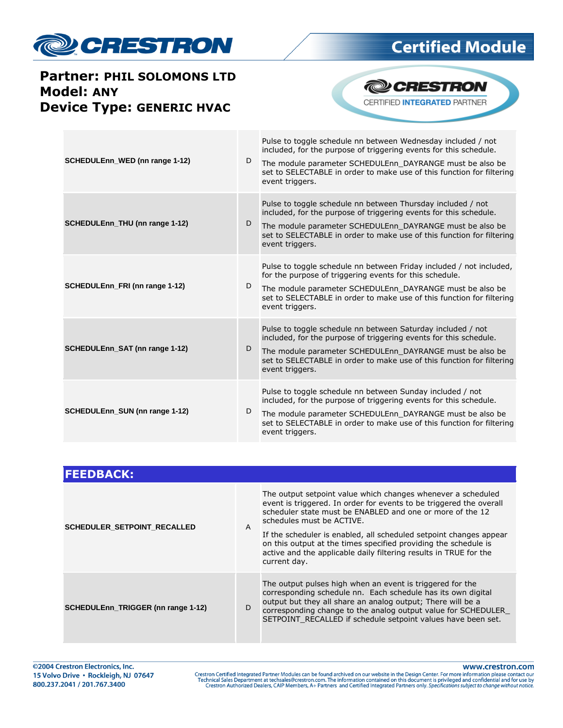

### **Partner: PHIL SOLOMONS LTD Model: ANY Device Type: GENERIC HVAC**



| SCHEDULEnn WED (nn range 1-12) | D | Pulse to toggle schedule nn between Wednesday included / not<br>included, for the purpose of triggering events for this schedule.<br>The module parameter SCHEDULEnn DAYRANGE must be also be<br>set to SELECTABLE in order to make use of this function for filtering<br>event triggers. |
|--------------------------------|---|-------------------------------------------------------------------------------------------------------------------------------------------------------------------------------------------------------------------------------------------------------------------------------------------|
| SCHEDULEnn_THU (nn range 1-12) | D | Pulse to toggle schedule nn between Thursday included / not<br>included, for the purpose of triggering events for this schedule.<br>The module parameter SCHEDULEnn_DAYRANGE must be also be<br>set to SELECTABLE in order to make use of this function for filtering<br>event triggers.  |
| SCHEDULEnn_FRI (nn range 1-12) | D | Pulse to toggle schedule nn between Friday included / not included,<br>for the purpose of triggering events for this schedule.<br>The module parameter SCHEDULEnn_DAYRANGE must be also be<br>set to SELECTABLE in order to make use of this function for filtering<br>event triggers.    |
| SCHEDULEnn_SAT (nn range 1-12) | D | Pulse to toggle schedule nn between Saturday included / not<br>included, for the purpose of triggering events for this schedule.<br>The module parameter SCHEDULEnn DAYRANGE must be also be<br>set to SELECTABLE in order to make use of this function for filtering<br>event triggers.  |
| SCHEDULEnn_SUN (nn range 1-12) | D | Pulse to toggle schedule nn between Sunday included / not<br>included, for the purpose of triggering events for this schedule.<br>The module parameter SCHEDULEnn DAYRANGE must be also be<br>set to SELECTABLE in order to make use of this function for filtering<br>event triggers.    |

| <b>FEEDBACK:</b>                   |   |                                                                                                                                                                                                                                                                                                                                                                                                                                                             |
|------------------------------------|---|-------------------------------------------------------------------------------------------------------------------------------------------------------------------------------------------------------------------------------------------------------------------------------------------------------------------------------------------------------------------------------------------------------------------------------------------------------------|
| <b>SCHEDULER SETPOINT RECALLED</b> | A | The output setpoint value which changes whenever a scheduled<br>event is triggered. In order for events to be triggered the overall<br>scheduler state must be ENABLED and one or more of the 12<br>schedules must be ACTIVE.<br>If the scheduler is enabled, all scheduled setpoint changes appear<br>on this output at the times specified providing the schedule is<br>active and the applicable daily filtering results in TRUE for the<br>current day. |
| SCHEDULEnn_TRIGGER (nn range 1-12) | D | The output pulses high when an event is triggered for the<br>corresponding schedule nn. Each schedule has its own digital<br>output but they all share an analog output; There will be a<br>corresponding change to the analog output value for SCHEDULER<br>SETPOINT RECALLED if schedule setpoint values have been set.                                                                                                                                   |

www.crestron.com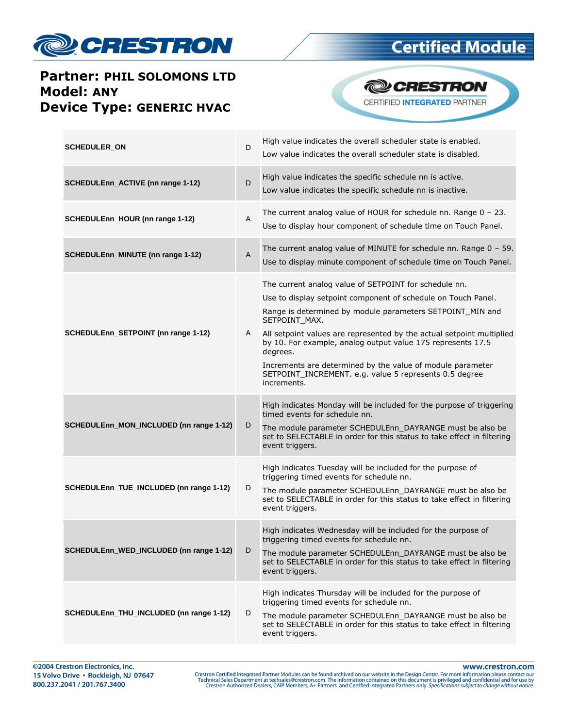

### **Partner: PHIL SOLOMONS LTD Model: ANY Device Type: GENERIC HVAC**





| <b>SCHEDULER_ON</b>                      | D              | High value indicates the overall scheduler state is enabled.<br>Low value indicates the overall scheduler state is disabled.                                                                                                                                                                                                                                                                                                                                                                    |
|------------------------------------------|----------------|-------------------------------------------------------------------------------------------------------------------------------------------------------------------------------------------------------------------------------------------------------------------------------------------------------------------------------------------------------------------------------------------------------------------------------------------------------------------------------------------------|
| SCHEDULEnn_ACTIVE (nn range 1-12)        | D              | High value indicates the specific schedule nn is active.<br>Low value indicates the specific schedule nn is inactive.                                                                                                                                                                                                                                                                                                                                                                           |
| SCHEDULEnn_HOUR (nn range 1-12)          | Α              | The current analog value of HOUR for schedule nn. Range $0 - 23$ .<br>Use to display hour component of schedule time on Touch Panel.                                                                                                                                                                                                                                                                                                                                                            |
| <b>SCHEDULEnn_MINUTE (nn range 1-12)</b> | $\overline{A}$ | The current analog value of MINUTE for schedule nn. Range $0 - 59$ .<br>Use to display minute component of schedule time on Touch Panel.                                                                                                                                                                                                                                                                                                                                                        |
| SCHEDULEnn_SETPOINT (nn range 1-12)      | A              | The current analog value of SETPOINT for schedule nn.<br>Use to display setpoint component of schedule on Touch Panel.<br>Range is determined by module parameters SETPOINT_MIN and<br>SETPOINT_MAX.<br>All setpoint values are represented by the actual setpoint multiplied<br>by 10. For example, analog output value 175 represents 17.5<br>degrees.<br>Increments are determined by the value of module parameter<br>SETPOINT_INCREMENT. e.g. value 5 represents 0.5 degree<br>increments. |
| SCHEDULEnn_MON_INCLUDED (nn range 1-12)  | D              | High indicates Monday will be included for the purpose of triggering<br>timed events for schedule nn.<br>The module parameter SCHEDULEnn DAYRANGE must be also be<br>set to SELECTABLE in order for this status to take effect in filtering<br>event triggers.                                                                                                                                                                                                                                  |
| SCHEDULEnn_TUE_INCLUDED (nn range 1-12)  | D              | High indicates Tuesday will be included for the purpose of<br>triggering timed events for schedule nn.<br>The module parameter SCHEDULEnn DAYRANGE must be also be<br>set to SELECTABLE in order for this status to take effect in filtering<br>event triggers.                                                                                                                                                                                                                                 |
| SCHEDULEnn_WED_INCLUDED (nn range 1-12)  | D              | High indicates Wednesday will be included for the purpose of<br>triggering timed events for schedule nn.<br>The module parameter SCHEDULEnn_DAYRANGE must be also be<br>set to SELECTABLE in order for this status to take effect in filtering<br>event triggers.                                                                                                                                                                                                                               |
| SCHEDULEnn_THU_INCLUDED (nn range 1-12)  | D              | High indicates Thursday will be included for the purpose of<br>triggering timed events for schedule nn.<br>The module parameter SCHEDULEnn DAYRANGE must be also be<br>set to SELECTABLE in order for this status to take effect in filtering<br>event triggers.                                                                                                                                                                                                                                |

www.crestron.com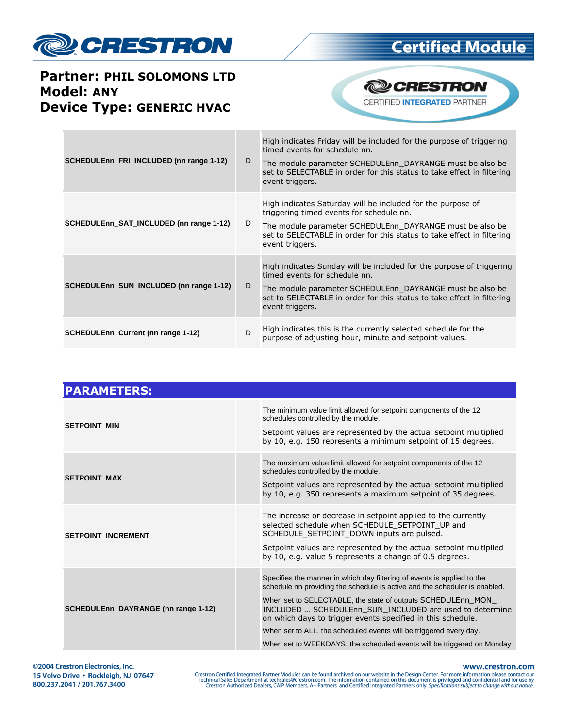

#### **Partner: PHIL SOLOMONS LTD Model: ANY Device Type: GENERIC HVAC**



| SCHEDULENN_FRI_INCLUDED (nn range 1-12)   | D | High indicates Friday will be included for the purpose of triggering<br>timed events for schedule nn.<br>The module parameter SCHEDULEnn DAYRANGE must be also be<br>set to SELECTABLE in order for this status to take effect in filtering<br>event triggers.   |
|-------------------------------------------|---|------------------------------------------------------------------------------------------------------------------------------------------------------------------------------------------------------------------------------------------------------------------|
| SCHEDULEnn_SAT_INCLUDED (nn range 1-12)   | D | High indicates Saturday will be included for the purpose of<br>triggering timed events for schedule nn.<br>The module parameter SCHEDULEnn DAYRANGE must be also be<br>set to SELECTABLE in order for this status to take effect in filtering<br>event triggers. |
| SCHEDULEnn_SUN_INCLUDED (nn range 1-12)   | D | High indicates Sunday will be included for the purpose of triggering<br>timed events for schedule nn.<br>The module parameter SCHEDULEnn DAYRANGE must be also be<br>set to SELECTABLE in order for this status to take effect in filtering<br>event triggers.   |
| <b>SCHEDULEnn_Current (nn range 1-12)</b> | D | High indicates this is the currently selected schedule for the<br>purpose of adjusting hour, minute and setpoint values.                                                                                                                                         |

| <b>PARAMETERS:</b>                  |                                                                                                                                                                                                                                                                                                                                                                                                                                                                                                |
|-------------------------------------|------------------------------------------------------------------------------------------------------------------------------------------------------------------------------------------------------------------------------------------------------------------------------------------------------------------------------------------------------------------------------------------------------------------------------------------------------------------------------------------------|
| <b>SETPOINT MIN</b>                 | The minimum value limit allowed for setpoint components of the 12<br>schedules controlled by the module.<br>Setpoint values are represented by the actual setpoint multiplied<br>by 10, e.g. 150 represents a minimum setpoint of 15 degrees.                                                                                                                                                                                                                                                  |
| <b>SETPOINT MAX</b>                 | The maximum value limit allowed for setpoint components of the 12<br>schedules controlled by the module.<br>Setpoint values are represented by the actual setpoint multiplied<br>by 10, e.g. 350 represents a maximum setpoint of 35 degrees.                                                                                                                                                                                                                                                  |
| <b>SETPOINT INCREMENT</b>           | The increase or decrease in setpoint applied to the currently<br>selected schedule when SCHEDULE_SETPOINT_UP and<br>SCHEDULE SETPOINT DOWN inputs are pulsed.<br>Setpoint values are represented by the actual setpoint multiplied<br>by 10, e.g. value 5 represents a change of 0.5 degrees.                                                                                                                                                                                                  |
| SCHEDULEnn_DAYRANGE (nn range 1-12) | Specifies the manner in which day filtering of events is applied to the<br>schedule nn providing the schedule is active and the scheduler is enabled.<br>When set to SELECTABLE, the state of outputs SCHEDULEnn MON<br>INCLUDED  SCHEDULEnn SUN INCLUDED are used to determine<br>on which days to trigger events specified in this schedule.<br>When set to ALL, the scheduled events will be triggered every day.<br>When set to WEEKDAYS, the scheduled events will be triggered on Monday |

www.crestron.com